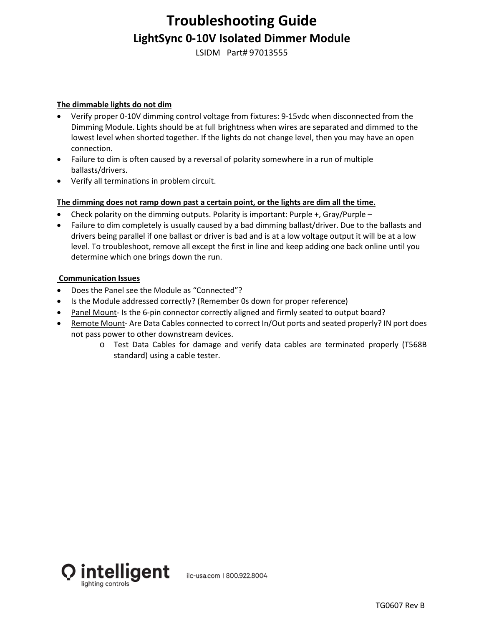## **Troubleshooting Guide LightSync 0-10V Isolated Dimmer Module**

LSIDM Part# 97013555

#### **The dimmable lights do not dim**

- Verify proper 0-10V dimming control voltage from fixtures: 9-15vdc when disconnected from the Dimming Module. Lights should be at full brightness when wires are separated and dimmed to the lowest level when shorted together. If the lights do not change level, then you may have an open connection.
- Failure to dim is often caused by a reversal of polarity somewhere in a run of multiple ballasts/drivers.
- Verify all terminations in problem circuit.

#### **The dimming does not ramp down past a certain point, or the lights are dim all the time.**

- Check polarity on the dimming outputs. Polarity is important: Purple  $+$ , Gray/Purple –
- Failure to dim completely is usually caused by a bad dimming ballast/driver. Due to the ballasts and drivers being parallel if one ballast or driver is bad and is at a low voltage output it will be at a low level. To troubleshoot, remove all except the first in line and keep adding one back online until you determine which one brings down the run.

#### **Communication Issues**

- Does the Panel see the Module as "Connected"?
- Is the Module addressed correctly? (Remember 0s down for proper reference)
- Panel Mount- Is the 6-pin connector correctly aligned and firmly seated to output board?
- Remote Mount- Are Data Cables connected to correct In/Out ports and seated properly? IN port does not pass power to other downstream devices.
	- o Test Data Cables for damage and verify data cables are terminated properly (T568B standard) using a cable tester.